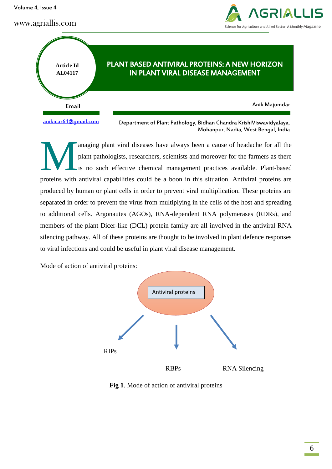Volume 4, Issue 4

www.agriallis.com





anaging plant viral diseases have always been a cause of headache for all the plant pathologists, researchers, scientists and moreover for the farmers as there is no such effective chemical management practices available. Plant-based proteins with antiviral capabilities could be a boon in this situation. Antiviral proteins are produced by human or plant cells in order to prevent viral multiplication. These proteins are separated in order to prevent the virus from multiplying in the cells of the host and spreading to additional cells. Argonautes (AGOs), RNA-dependent RNA polymerases (RDRs), and members of the plant Dicer-like (DCL) protein family are all involved in the antiviral RNA silencing pathway. All of these proteins are thought to be involved in plant defence responses to viral infections and could be useful in plant viral disease management. M

Mode of action of antiviral proteins:



**Fig 1**. Mode of action of antiviral proteins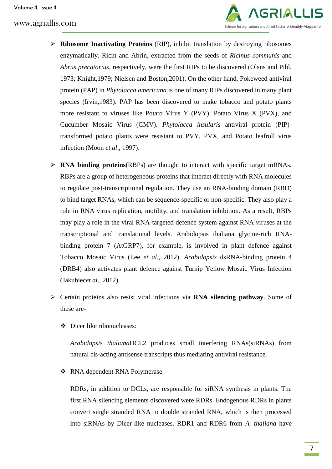

- **Ribosome Inactivating Proteins** (RIP), inhibit translation by destroying ribosomes enzymatically. Ricin and Abrin, extracted from the seeds of *Ricinus communis* and *Abrus precatorius*, respectively, were the first RIPs to be discovered (Olsns and Pihl, 1973; Knight,1979; Nielsen and Boston,2001). On the other hand, Pokeweed antiviral protein (PAP) in *Phytolacca americana* is one of many RIPs discovered in many plant species (Irvin,1983). PAP has been discovered to make tobacco and potato plants more resistant to viruses like Potato Virus Y (PVY), Potato Virus X (PVX), and Cucumber Mosaic Virus (CMV). *Phytolacca insularis* antiviral protein (PIP) transformed potato plants were resistant to PVY, PVX, and Potato leafroll virus infection (Moon *et al*., 1997).
- **RNA binding proteins**(RBPs) are thought to interact with specific target mRNAs. RBPs are a group of heterogeneous proteins that interact directly with RNA molecules to regulate post-transcriptional regulation. They use an RNA-binding domain (RBD) to bind target RNAs, which can be sequence-specific or non-specific. They also play a role in RNA virus replication, motility, and translation inhibition. As a result, RBPs may play a role in the viral RNA-targeted defence system against RNA viruses at the transcriptional and translational levels. Arabidopsis thaliana glycine-rich RNAbinding protein 7 (AtGRP7), for example, is involved in plant defence against Tobacco Mosaic Virus (Lee *et al*., 2012). *Arabidopsis* dsRNA-binding protein 4 (DRB4) also activates plant defence against Turnip Yellow Mosaic Virus Infection (Jakubiec*et al*., 2012).
- Certain proteins also resist viral infections via **RNA silencing pathway**. Some of these are-
	- Dicer like ribonucleases:

*Arabidopsis thaliana*DCL2 produces small interfering RNAs(siRNAs) from natural cis-acting antisense transcripts thus mediating antiviral resistance.

RNA dependent RNA Polymerase:

RDRs, in addition to DCLs, are responsible for siRNA synthesis in plants. The first RNA silencing elements discovered were RDRs. Endogenous RDRs in plants convert single stranded RNA to double stranded RNA, which is then processed into siRNAs by Dicer-like nucleases. RDR1 and RDR6 from *A. thaliana* have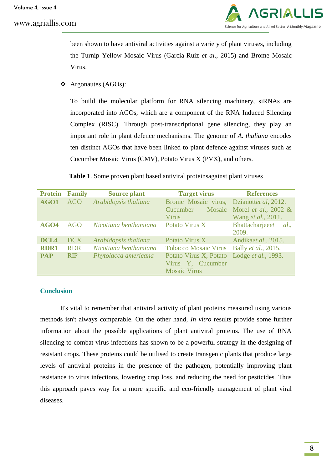## www.agriallis.com



been shown to have antiviral activities against a variety of plant viruses, including the Turnip Yellow Mosaic Virus (Garcia-Ruiz *et al*., 2015) and Brome Mosaic Virus.

Argonautes (AGOs):

To build the molecular platform for RNA silencing machinery, siRNAs are incorporated into AGOs, which are a component of the RNA Induced Silencing Complex (RISC). Through post-transcriptional gene silencing, they play an important role in plant defence mechanisms. The genome of *A. thaliana* encodes ten distinct AGOs that have been linked to plant defence against viruses such as Cucumber Mosaic Virus (CMV), Potato Virus X (PVX), and others.

|  | Table 1. Some proven plant based antiviral proteinsagainst plant viruses |  |  |  |  |  |
|--|--------------------------------------------------------------------------|--|--|--|--|--|
|--|--------------------------------------------------------------------------|--|--|--|--|--|

| <b>Protein</b>   | <b>Family</b> | <b>Source plant</b>   | <b>Target virus</b>                        | <b>References</b>               |
|------------------|---------------|-----------------------|--------------------------------------------|---------------------------------|
| AGO1             | <b>AGO</b>    | Arabidopsis thaliana  | Brome Mosaic virus,                        | Dzianottet al, 2012.            |
|                  |               |                       | Cucumber                                   | Mosaic Morel et al., 2002 &     |
|                  |               |                       | <b>Virus</b>                               | Wang <i>et al.</i> , 2011.      |
| AGO4             | AGO           | Nicotiana benthamiana | Potato Virus X                             | Bhattacharjeeet<br><i>al.</i> , |
|                  |               |                       |                                            | 2009.                           |
| DCL <sub>4</sub> | <b>DCX</b>    | Arabidopsis thaliana  | Potato Virus X                             | Andikaet al., 2015.             |
| <b>RDR1</b>      | <b>RDR</b>    | Nicotiana benthamiana | <b>Tobacco Mosaic Virus</b>                | Bally <i>et al.</i> , 2015.     |
| <b>PAP</b>       | <b>RIP</b>    | Phytolacca americana  | Potato Virus X, Potato Lodge et al., 1993. |                                 |
|                  |               |                       | Virus Y, Cucumber                          |                                 |
|                  |               |                       | <b>Mosaic Virus</b>                        |                                 |

## **Conclusion**

It's vital to remember that antiviral activity of plant proteins measured using various methods isn't always comparable. On the other hand, *In vitro* results provide some further information about the possible applications of plant antiviral proteins. The use of RNA silencing to combat virus infections has shown to be a powerful strategy in the designing of resistant crops. These proteins could be utilised to create transgenic plants that produce large levels of antiviral proteins in the presence of the pathogen, potentially improving plant resistance to virus infections, lowering crop loss, and reducing the need for pesticides. Thus this approach paves way for a more specific and eco-friendly management of plant viral diseases.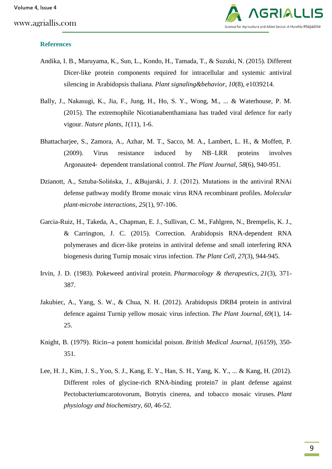

## **References**

- Andika, I. B., Maruyama, K., Sun, L., Kondo, H., Tamada, T., & Suzuki, N. (2015). Different Dicer-like protein components required for intracellular and systemic antiviral silencing in Arabidopsis thaliana. *Plant signaling&behavior*, *10*(8), e1039214.
- Bally, J., Nakasugi, K., Jia, F., Jung, H., Ho, S. Y., Wong, M., ... & Waterhouse, P. M. (2015). The extremophile Nicotianabenthamiana has traded viral defence for early vigour. *Nature plants*, *1*(11), 1-6.
- Bhattacharjee, S., Zamora, A., Azhar, M. T., Sacco, M. A., Lambert, L. H., & Moffett, P. (2009). Virus resistance induced by NB–LRR proteins involves Argonaute4‐ dependent translational control. *The Plant Journal*, *58*(6), 940-951.
- Dzianott, A., Sztuba-Solińska, J., &Bujarski, J. J. (2012). Mutations in the antiviral RNAi defense pathway modify Brome mosaic virus RNA recombinant profiles. *Molecular plant-microbe interactions*, *25*(1), 97-106.
- Garcia-Ruiz, H., Takeda, A., Chapman, E. J., Sullivan, C. M., Fahlgren, N., Brempelis, K. J., & Carrington, J. C. (2015). Correction. Arabidopsis RNA-dependent RNA polymerases and dicer-like proteins in antiviral defense and small interfering RNA biogenesis during Turnip mosaic virus infection. *The Plant Cell*, *27*(3), 944-945.
- Irvin, J. D. (1983). Pokeweed antiviral protein. *Pharmacology & therapeutics*, *21*(3), 371- 387.
- Jakubiec, A., Yang, S. W., & Chua, N. H. (2012). Arabidopsis DRB4 protein in antiviral defence against Turnip yellow mosaic virus infection. *The Plant Journal*, *69*(1), 14- 25.
- Knight, B. (1979). Ricin--a potent homicidal poison. *British Medical Journal*, *1*(6159), 350- 351.
- Lee, H. J., Kim, J. S., Yoo, S. J., Kang, E. Y., Han, S. H., Yang, K. Y., ... & Kang, H. (2012). Different roles of glycine-rich RNA-binding protein7 in plant defense against Pectobacteriumcarotovorum, Botrytis cinerea, and tobacco mosaic viruses. *Plant physiology and biochemistry*, *60*, 46-52.